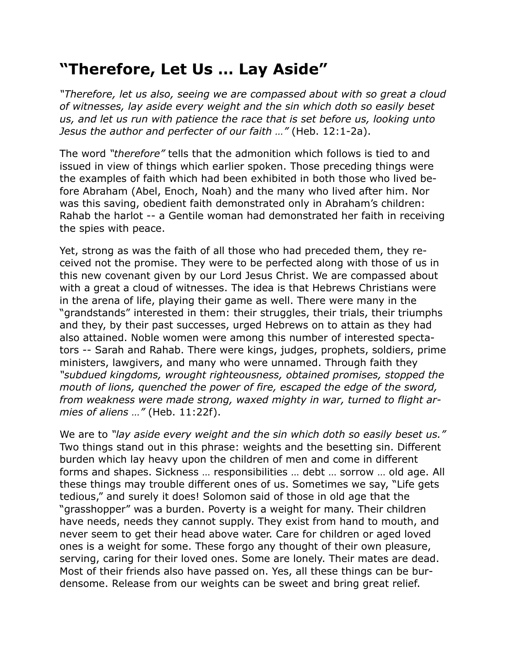## **"Therefore, Let Us … Lay Aside"**

*"Therefore, let us also, seeing we are compassed about with so great a cloud of witnesses, lay aside every weight and the sin which doth so easily beset us, and let us run with patience the race that is set before us, looking unto Jesus the author and perfecter of our faith …"* (Heb. 12:1-2a).

The word *"therefore"* tells that the admonition which follows is tied to and issued in view of things which earlier spoken. Those preceding things were the examples of faith which had been exhibited in both those who lived before Abraham (Abel, Enoch, Noah) and the many who lived after him. Nor was this saving, obedient faith demonstrated only in Abraham's children: Rahab the harlot -- a Gentile woman had demonstrated her faith in receiving the spies with peace.

Yet, strong as was the faith of all those who had preceded them, they received not the promise. They were to be perfected along with those of us in this new covenant given by our Lord Jesus Christ. We are compassed about with a great a cloud of witnesses. The idea is that Hebrews Christians were in the arena of life, playing their game as well. There were many in the "grandstands" interested in them: their struggles, their trials, their triumphs and they, by their past successes, urged Hebrews on to attain as they had also attained. Noble women were among this number of interested spectators -- Sarah and Rahab. There were kings, judges, prophets, soldiers, prime ministers, lawgivers, and many who were unnamed. Through faith they *"subdued kingdoms, wrought righteousness, obtained promises, stopped the mouth of lions, quenched the power of fire, escaped the edge of the sword, from weakness were made strong, waxed mighty in war, turned to flight armies of aliens …"* (Heb. 11:22f).

We are to *"lay aside every weight and the sin which doth so easily beset us."* Two things stand out in this phrase: weights and the besetting sin. Different burden which lay heavy upon the children of men and come in different forms and shapes. Sickness … responsibilities … debt … sorrow … old age. All these things may trouble different ones of us. Sometimes we say, "Life gets tedious," and surely it does! Solomon said of those in old age that the "grasshopper" was a burden. Poverty is a weight for many. Their children have needs, needs they cannot supply. They exist from hand to mouth, and never seem to get their head above water. Care for children or aged loved ones is a weight for some. These forgo any thought of their own pleasure, serving, caring for their loved ones. Some are lonely. Their mates are dead. Most of their friends also have passed on. Yes, all these things can be burdensome. Release from our weights can be sweet and bring great relief.